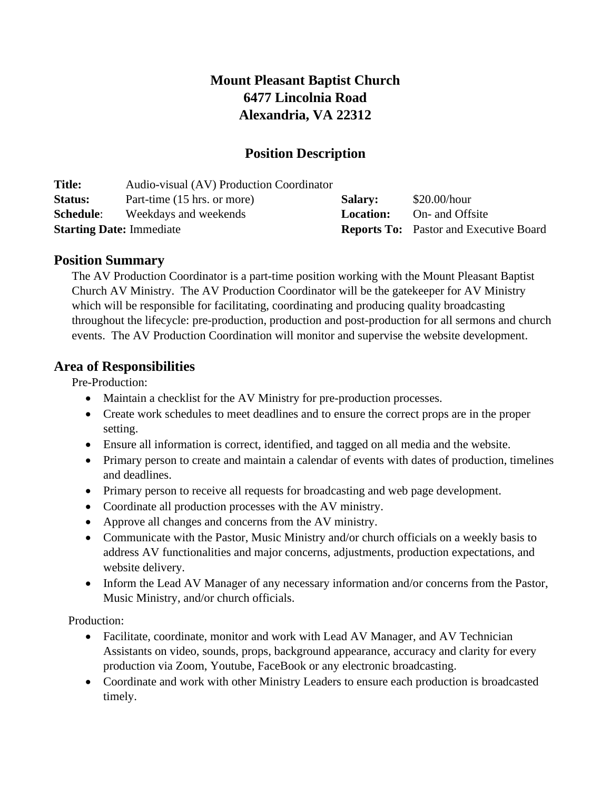# **Mount Pleasant Baptist Church 6477 Lincolnia Road Alexandria, VA 22312**

## **Position Description**

| <b>Title:</b>                   | Audio-visual (AV) Production Coordinator |                |                                               |
|---------------------------------|------------------------------------------|----------------|-----------------------------------------------|
| <b>Status:</b>                  | Part-time (15 hrs. or more)              | <b>Salary:</b> | $$20.00/h$ our                                |
| <b>Schedule:</b>                | Weekdays and weekends                    | Location:      | On- and Offsite                               |
| <b>Starting Date: Immediate</b> |                                          |                | <b>Reports To:</b> Pastor and Executive Board |

#### **Position Summary**

The AV Production Coordinator is a part-time position working with the Mount Pleasant Baptist Church AV Ministry. The AV Production Coordinator will be the gatekeeper for AV Ministry which will be responsible for facilitating, coordinating and producing quality broadcasting throughout the lifecycle: pre-production, production and post-production for all sermons and church events. The AV Production Coordination will monitor and supervise the website development.

### **Area of Responsibilities**

Pre-Production:

- Maintain a checklist for the AV Ministry for pre-production processes.
- Create work schedules to meet deadlines and to ensure the correct props are in the proper setting.
- Ensure all information is correct, identified, and tagged on all media and the website.
- Primary person to create and maintain a calendar of events with dates of production, timelines and deadlines.
- Primary person to receive all requests for broadcasting and web page development.
- Coordinate all production processes with the AV ministry.
- Approve all changes and concerns from the AV ministry.
- Communicate with the Pastor, Music Ministry and/or church officials on a weekly basis to address AV functionalities and major concerns, adjustments, production expectations, and website delivery.
- Inform the Lead AV Manager of any necessary information and/or concerns from the Pastor, Music Ministry, and/or church officials.

Production:

- Facilitate, coordinate, monitor and work with Lead AV Manager, and AV Technician Assistants on video, sounds, props, background appearance, accuracy and clarity for every production via Zoom, Youtube, FaceBook or any electronic broadcasting.
- Coordinate and work with other Ministry Leaders to ensure each production is broadcasted timely.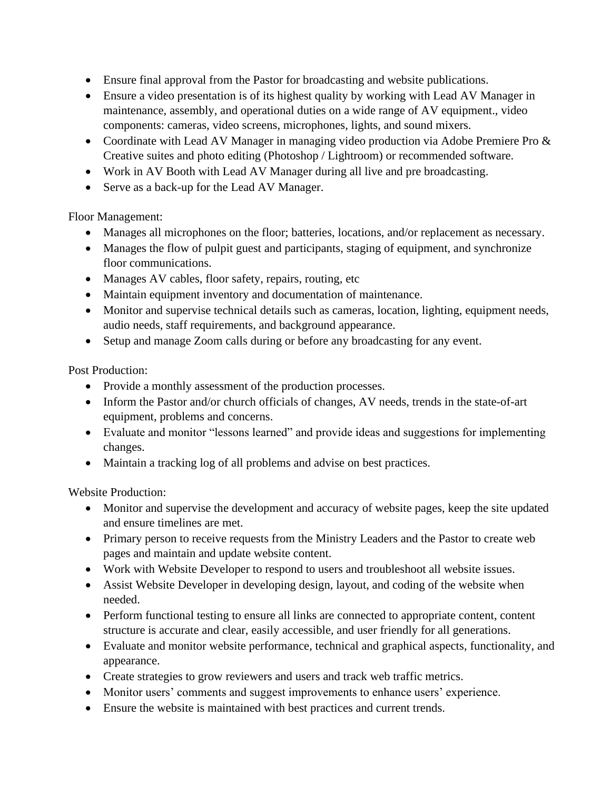- Ensure final approval from the Pastor for broadcasting and website publications.
- Ensure a video presentation is of its highest quality by working with Lead AV Manager in maintenance, assembly, and operational duties on a wide range of AV equipment., video components: cameras, video screens, microphones, lights, and sound mixers.
- Coordinate with Lead AV Manager in managing video production via Adobe Premiere Pro & Creative suites and photo editing (Photoshop / Lightroom) or recommended software.
- Work in AV Booth with Lead AV Manager during all live and pre broadcasting.
- Serve as a back-up for the Lead AV Manager.

Floor Management:

- Manages all microphones on the floor; batteries, locations, and/or replacement as necessary.
- Manages the flow of pulpit guest and participants, staging of equipment, and synchronize floor communications.
- Manages AV cables, floor safety, repairs, routing, etc
- Maintain equipment inventory and documentation of maintenance.
- Monitor and supervise technical details such as cameras, location, lighting, equipment needs, audio needs, staff requirements, and background appearance.
- Setup and manage Zoom calls during or before any broadcasting for any event.

Post Production:

- Provide a monthly assessment of the production processes.
- Inform the Pastor and/or church officials of changes, AV needs, trends in the state-of-art equipment, problems and concerns.
- Evaluate and monitor "lessons learned" and provide ideas and suggestions for implementing changes.
- Maintain a tracking log of all problems and advise on best practices.

Website Production:

- Monitor and supervise the development and accuracy of website pages, keep the site updated and ensure timelines are met.
- Primary person to receive requests from the Ministry Leaders and the Pastor to create web pages and maintain and update website content.
- Work with Website Developer to respond to users and troubleshoot all website issues.
- Assist Website Developer in developing design, layout, and coding of the website when needed.
- Perform functional testing to ensure all links are connected to appropriate content, content structure is accurate and clear, easily accessible, and user friendly for all generations.
- Evaluate and monitor website performance, technical and graphical aspects, functionality, and appearance.
- Create strategies to grow reviewers and users and track web traffic metrics.
- Monitor users' comments and suggest improvements to enhance users' experience.
- Ensure the website is maintained with best practices and current trends.